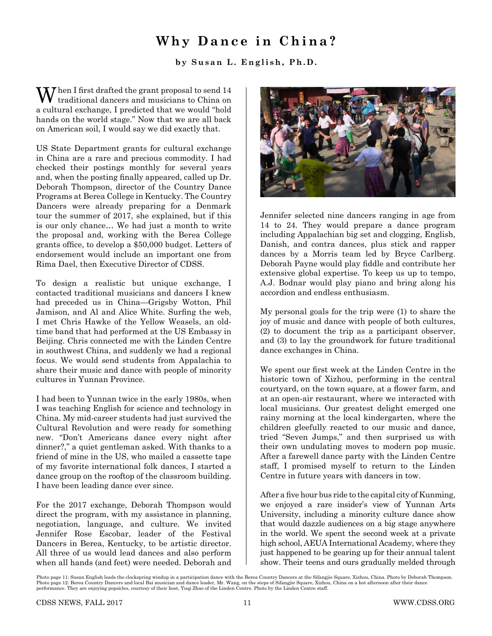## **Why Dance in China?**

**by Susan L. English, Ph.D.**

 $\sum$  hen I first drafted the grant proposal to send 14 traditional dancers and musicians to China on a cultural exchange, I predicted that we would "hold hands on the world stage." Now that we are all back on American soil, I would say we did exactly that.

US State Department grants for cultural exchange in China are a rare and precious commodity. I had checked their postings monthly for several years and, when the posting finally appeared, called up Dr. Deborah Thompson, director of the Country Dance Programs at Berea College in Kentucky. The Country Dancers were already preparing for a Denmark tour the summer of 2017, she explained, but if this is our only chance… We had just a month to write the proposal and, working with the Berea College grants office, to develop a \$50,000 budget. Letters of endorsement would include an important one from Rima Dael, then Executive Director of CDSS.

To design a realistic but unique exchange, I contacted traditional musicians and dancers I knew had preceded us in China—Grigsby Wotton, Phil Jamison, and Al and Alice White. Surfing the web, I met Chris Hawke of the Yellow Weasels, an oldtime band that had performed at the US Embassy in Beijing. Chris connected me with the Linden Centre in southwest China, and suddenly we had a regional focus. We would send students from Appalachia to share their music and dance with people of minority cultures in Yunnan Province.

I had been to Yunnan twice in the early 1980s, when I was teaching English for science and technology in China. My mid-career students had just survived the Cultural Revolution and were ready for something new. "Don't Americans dance every night after dinner?," a quiet gentleman asked. With thanks to a friend of mine in the US, who mailed a cassette tape of my favorite international folk dances, I started a dance group on the rooftop of the classroom building. I have been leading dance ever since.

For the 2017 exchange, Deborah Thompson would direct the program, with my assistance in planning, negotiation, language, and culture. We invited Jennifer Rose Escobar, leader of the Festival Dancers in Berea, Kentucky, to be artistic director. All three of us would lead dances and also perform when all hands (and feet) were needed. Deborah and



Jennifer selected nine dancers ranging in age from 14 to 24. They would prepare a dance program including Appalachian big set and clogging, English, Danish, and contra dances, plus stick and rapper dances by a Morris team led by Bryce Carlberg. Deborah Payne would play fiddle and contribute her extensive global expertise. To keep us up to tempo, A.J. Bodnar would play piano and bring along his accordion and endless enthusiasm.

My personal goals for the trip were (1) to share the joy of music and dance with people of both cultures, (2) to document the trip as a participant observer, and (3) to lay the groundwork for future traditional dance exchanges in China.

We spent our first week at the Linden Centre in the historic town of Xizhou, performing in the central courtyard, on the town square, at a flower farm, and at an open-air restaurant, where we interacted with local musicians. Our greatest delight emerged one rainy morning at the local kindergarten, where the children gleefully reacted to our music and dance, tried "Seven Jumps," and then surprised us with their own undulating moves to modern pop music. After a farewell dance party with the Linden Centre staff, I promised myself to return to the Linden Centre in future years with dancers in tow.

After a five hour bus ride to the capital city of Kunming, we enjoyed a rare insider's view of Yunnan Arts University, including a minority culture dance show that would dazzle audiences on a big stage anywhere in the world. We spent the second week at a private high school, AEUA International Academy, where they just happened to be gearing up for their annual talent show. Their teens and ours gradually melded through

Photo page 11: Susan English leads the clockspring windup in a participation dance with the Berea Country Dancers at the Sifangjie Square, Xizhou, China. Photo by Deborah Thompson. Photo page 12: Berea Country Dancers and local Bai musician and dance leader, Mr. Wang, on the steps of Sifangjie Square, Xizhou, China on a hot afternoon after their dance performance. They are enjoying popsicles, courtesy of their host, Yuqi Zhao of the Linden Centre. Photo by the Linden Centre staff.